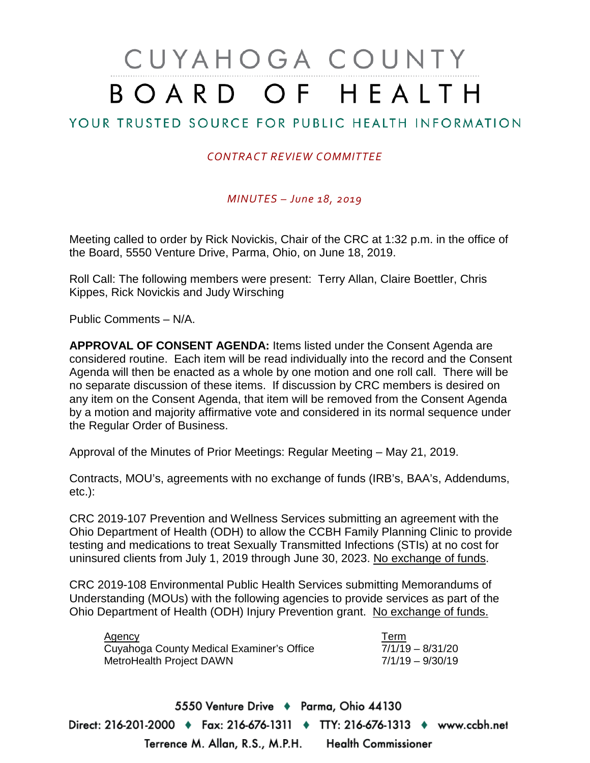# CUYAHOGA COUNTY BOARD OF HEALTH

## YOUR TRUSTED SOURCE FOR PUBLIC HEALTH INFORMATION

#### *CONTRACT REVIEW COMMITTEE*

#### *MINUTES – June 18, 2019*

Meeting called to order by Rick Novickis, Chair of the CRC at 1:32 p.m. in the office of the Board, 5550 Venture Drive, Parma, Ohio, on June 18, 2019.

Roll Call: The following members were present: Terry Allan, Claire Boettler, Chris Kippes, Rick Novickis and Judy Wirsching

Public Comments – N/A.

**APPROVAL OF CONSENT AGENDA:** Items listed under the Consent Agenda are considered routine. Each item will be read individually into the record and the Consent Agenda will then be enacted as a whole by one motion and one roll call. There will be no separate discussion of these items. If discussion by CRC members is desired on any item on the Consent Agenda, that item will be removed from the Consent Agenda by a motion and majority affirmative vote and considered in its normal sequence under the Regular Order of Business.

Approval of the Minutes of Prior Meetings: Regular Meeting – May 21, 2019.

Contracts, MOU's, agreements with no exchange of funds (IRB's, BAA's, Addendums, etc.):

CRC 2019-107 Prevention and Wellness Services submitting an agreement with the Ohio Department of Health (ODH) to allow the CCBH Family Planning Clinic to provide testing and medications to treat Sexually Transmitted Infections (STIs) at no cost for uninsured clients from July 1, 2019 through June 30, 2023. No exchange of funds.

CRC 2019-108 Environmental Public Health Services submitting Memorandums of Understanding (MOUs) with the following agencies to provide services as part of the Ohio Department of Health (ODH) Injury Prevention grant. No exchange of funds.

| <b>Agency</b>                             | Term             |
|-------------------------------------------|------------------|
| Cuyahoga County Medical Examiner's Office | 7/1/19 - 8/31/20 |
| MetroHealth Project DAWN                  | 7/1/19 - 9/30/19 |

5550 Venture Drive + Parma, Ohio 44130 Direct: 216-201-2000 ♦ Fax: 216-676-1311 ♦ TTY: 216-676-1313 ♦ www.ccbh.net Terrence M. Allan, R.S., M.P.H. Health Commissioner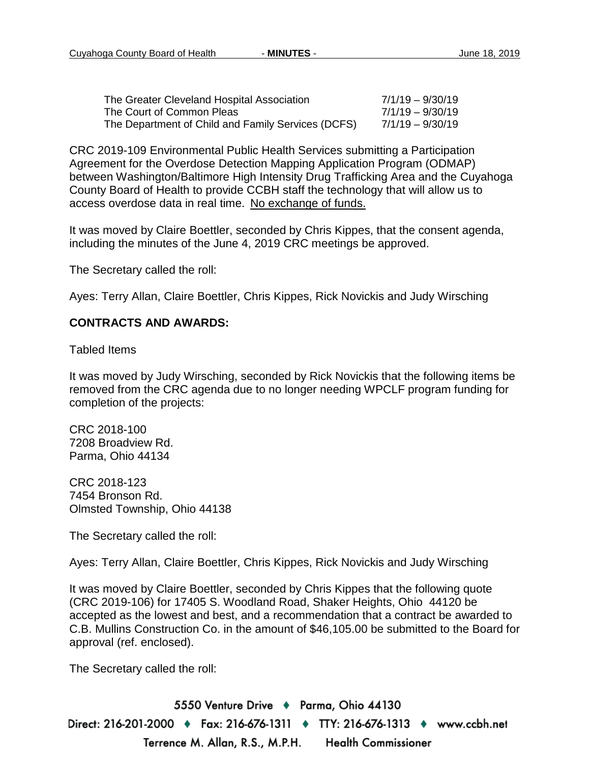| The Greater Cleveland Hospital Association         | 7/1/19 - 9/30/19   |
|----------------------------------------------------|--------------------|
| The Court of Common Pleas                          | $7/1/19 - 9/30/19$ |
| The Department of Child and Family Services (DCFS) | 7/1/19 - 9/30/19   |

CRC 2019-109 Environmental Public Health Services submitting a Participation Agreement for the Overdose Detection Mapping Application Program (ODMAP) between Washington/Baltimore High Intensity Drug Trafficking Area and the Cuyahoga County Board of Health to provide CCBH staff the technology that will allow us to access overdose data in real time. No exchange of funds.

It was moved by Claire Boettler, seconded by Chris Kippes, that the consent agenda, including the minutes of the June 4, 2019 CRC meetings be approved.

The Secretary called the roll:

Ayes: Terry Allan, Claire Boettler, Chris Kippes, Rick Novickis and Judy Wirsching

#### **CONTRACTS AND AWARDS:**

Tabled Items

It was moved by Judy Wirsching, seconded by Rick Novickis that the following items be removed from the CRC agenda due to no longer needing WPCLF program funding for completion of the projects:

CRC 2018-100 7208 Broadview Rd. Parma, Ohio 44134

CRC 2018-123 7454 Bronson Rd. Olmsted Township, Ohio 44138

The Secretary called the roll:

Ayes: Terry Allan, Claire Boettler, Chris Kippes, Rick Novickis and Judy Wirsching

It was moved by Claire Boettler, seconded by Chris Kippes that the following quote (CRC 2019-106) for 17405 S. Woodland Road, Shaker Heights, Ohio 44120 be accepted as the lowest and best, and a recommendation that a contract be awarded to C.B. Mullins Construction Co. in the amount of \$46,105.00 be submitted to the Board for approval (ref. enclosed).

The Secretary called the roll:

5550 Venture Drive + Parma, Ohio 44130 Direct: 216-201-2000 ♦ Fax: 216-676-1311 ♦ TTY: 216-676-1313 ♦ www.ccbh.net Terrence M. Allan, R.S., M.P.H. **Health Commissioner**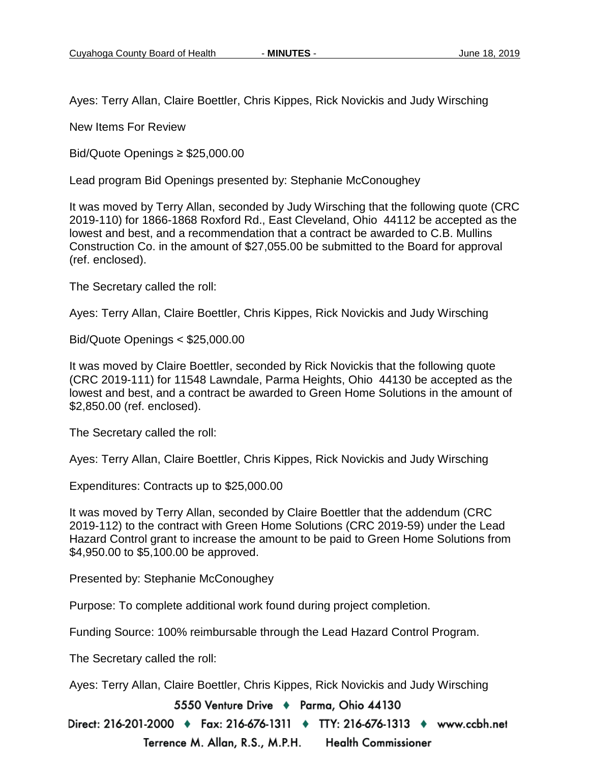Ayes: Terry Allan, Claire Boettler, Chris Kippes, Rick Novickis and Judy Wirsching

New Items For Review

Bid/Quote Openings ≥ \$25,000.00

Lead program Bid Openings presented by: Stephanie McConoughey

It was moved by Terry Allan, seconded by Judy Wirsching that the following quote (CRC 2019-110) for 1866-1868 Roxford Rd., East Cleveland, Ohio 44112 be accepted as the lowest and best, and a recommendation that a contract be awarded to C.B. Mullins Construction Co. in the amount of \$27,055.00 be submitted to the Board for approval (ref. enclosed).

The Secretary called the roll:

Ayes: Terry Allan, Claire Boettler, Chris Kippes, Rick Novickis and Judy Wirsching

Bid/Quote Openings < \$25,000.00

It was moved by Claire Boettler, seconded by Rick Novickis that the following quote (CRC 2019-111) for 11548 Lawndale, Parma Heights, Ohio 44130 be accepted as the lowest and best, and a contract be awarded to Green Home Solutions in the amount of \$2,850.00 (ref. enclosed).

The Secretary called the roll:

Ayes: Terry Allan, Claire Boettler, Chris Kippes, Rick Novickis and Judy Wirsching

Expenditures: Contracts up to \$25,000.00

It was moved by Terry Allan, seconded by Claire Boettler that the addendum (CRC 2019-112) to the contract with Green Home Solutions (CRC 2019-59) under the Lead Hazard Control grant to increase the amount to be paid to Green Home Solutions from \$4,950.00 to \$5,100.00 be approved.

Presented by: Stephanie McConoughey

Purpose: To complete additional work found during project completion.

Funding Source: 100% reimbursable through the Lead Hazard Control Program.

The Secretary called the roll:

Ayes: Terry Allan, Claire Boettler, Chris Kippes, Rick Novickis and Judy Wirsching

5550 Venture Drive + Parma, Ohio 44130

Direct: 216-201-2000 ♦ Fax: 216-676-1311 ♦ TTY: 216-676-1313 ♦ www.ccbh.net Terrence M. Allan, R.S., M.P.H. **Health Commissioner**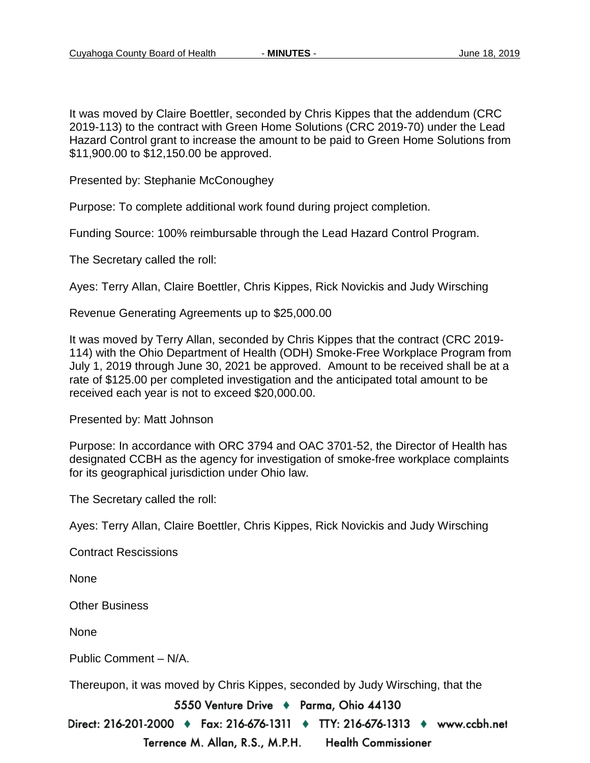It was moved by Claire Boettler, seconded by Chris Kippes that the addendum (CRC 2019-113) to the contract with Green Home Solutions (CRC 2019-70) under the Lead Hazard Control grant to increase the amount to be paid to Green Home Solutions from \$11,900.00 to \$12,150.00 be approved.

Presented by: Stephanie McConoughey

Purpose: To complete additional work found during project completion.

Funding Source: 100% reimbursable through the Lead Hazard Control Program.

The Secretary called the roll:

Ayes: Terry Allan, Claire Boettler, Chris Kippes, Rick Novickis and Judy Wirsching

Revenue Generating Agreements up to \$25,000.00

It was moved by Terry Allan, seconded by Chris Kippes that the contract (CRC 2019- 114) with the Ohio Department of Health (ODH) Smoke-Free Workplace Program from July 1, 2019 through June 30, 2021 be approved. Amount to be received shall be at a rate of \$125.00 per completed investigation and the anticipated total amount to be received each year is not to exceed \$20,000.00.

Presented by: Matt Johnson

Purpose: In accordance with ORC 3794 and OAC 3701-52, the Director of Health has designated CCBH as the agency for investigation of smoke-free workplace complaints for its geographical jurisdiction under Ohio law.

The Secretary called the roll:

Ayes: Terry Allan, Claire Boettler, Chris Kippes, Rick Novickis and Judy Wirsching

Contract Rescissions

None

Other Business

None

Public Comment – N/A.

Thereupon, it was moved by Chris Kippes, seconded by Judy Wirsching, that the

5550 Venture Drive + Parma, Ohio 44130

Direct: 216-201-2000 ♦ Fax: 216-676-1311 ♦ TTY: 216-676-1313 ♦ www.ccbh.net Terrence M. Allan, R.S., M.P.H. **Health Commissioner**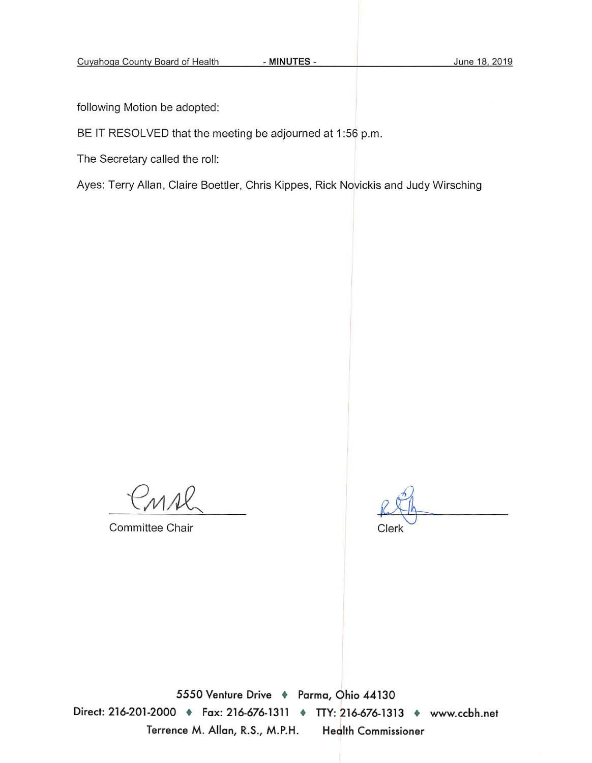following Motion be adopted:

#### BE IT RESOLVED that the meeting be adjourned at 1:56 p.m.

The Secretary called the roll:

Ayes: Terry Allan, Claire Boettler, Chris Kippes, Rick Novickis and Judy Wirsching

PMAK

Committee Chair

Clerk

5550 Venture Drive + Parma, Ohio 44130 Direct: 216-201-2000 • Fax: 216-676-1311 • TTY: 216-676-1313 • www.ccbh.net Terrence M. Allan, R.S., M.P.H. **Health Commissioner**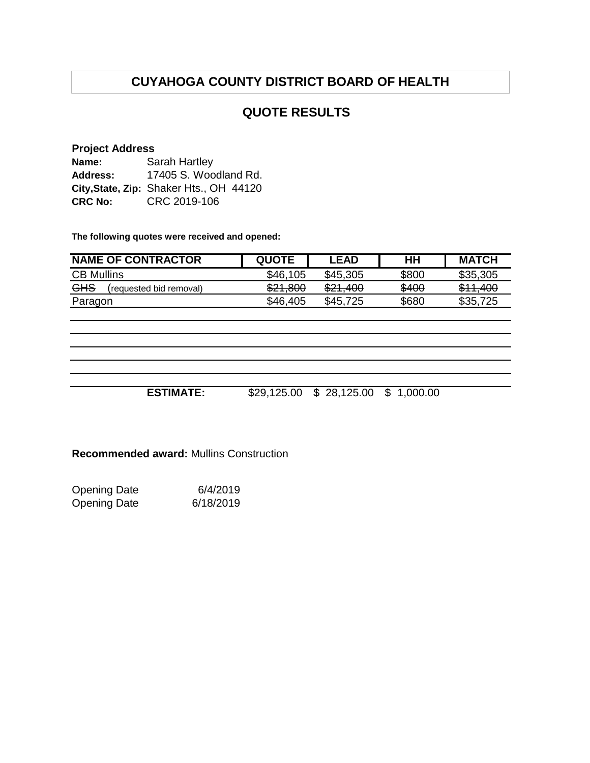# **CUYAHOGA COUNTY DISTRICT BOARD OF HEALTH**

## **QUOTE RESULTS**

#### **Project Address**

| Name:          | Sarah Hartley                           |  |  |
|----------------|-----------------------------------------|--|--|
| Address:       | 17405 S. Woodland Rd.                   |  |  |
|                | City, State, Zip: Shaker Hts., OH 44120 |  |  |
| <b>CRC No:</b> | CRC 2019-106                            |  |  |

**The following quotes were received and opened:**

| <b>NAME OF CONTRACTOR</b>      | <b>QUOTE</b> | <b>LEAD</b> | HН    | <b>MATCH</b> |
|--------------------------------|--------------|-------------|-------|--------------|
| <b>CB Mullins</b>              | \$46,105     | \$45,305    | \$800 | \$35,305     |
| GHS<br>(requested bid removal) | \$21,800     | \$21,400    | \$400 | \$11,400     |
| Paragon                        | \$46,405     | \$45,725    | \$680 | \$35,725     |

**ESTIMATE:** \$29,125.00 \$ 28,125.00 \$ 1,000.00

**Recommended award:** Mullins Construction

Opening Date 6/4/2019<br>Opening Date 6/18/2019 6/18/2019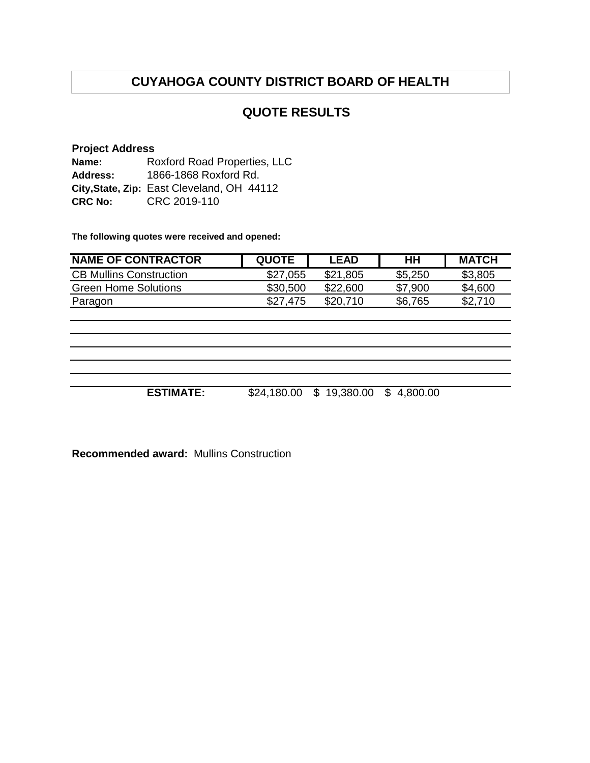# **CUYAHOGA COUNTY DISTRICT BOARD OF HEALTH**

## **QUOTE RESULTS**

#### **Project Address**

**Name: Address: City,State, Zip:** East Cleveland, OH 44112 **CRC No:** CRC 2019-110 Roxford Road Properties, LLC 1866-1868 Roxford Rd.

**The following quotes were received and opened:**

| <b>NAME OF CONTRACTOR</b>      | <b>QUOTE</b> | <b>LEAD</b> | HН      | <b>MATCH</b> |
|--------------------------------|--------------|-------------|---------|--------------|
| <b>CB Mullins Construction</b> | \$27,055     | \$21,805    | \$5,250 | \$3,805      |
| <b>Green Home Solutions</b>    | \$30,500     | \$22,600    | \$7,900 | \$4,600      |
| Paragon                        | \$27.475     | \$20,710    | \$6,765 | \$2,710      |

**ESTIMATE:** \$24,180.00 \$ 19,380.00 \$ 4,800.00

**Recommended award:** Mullins Construction